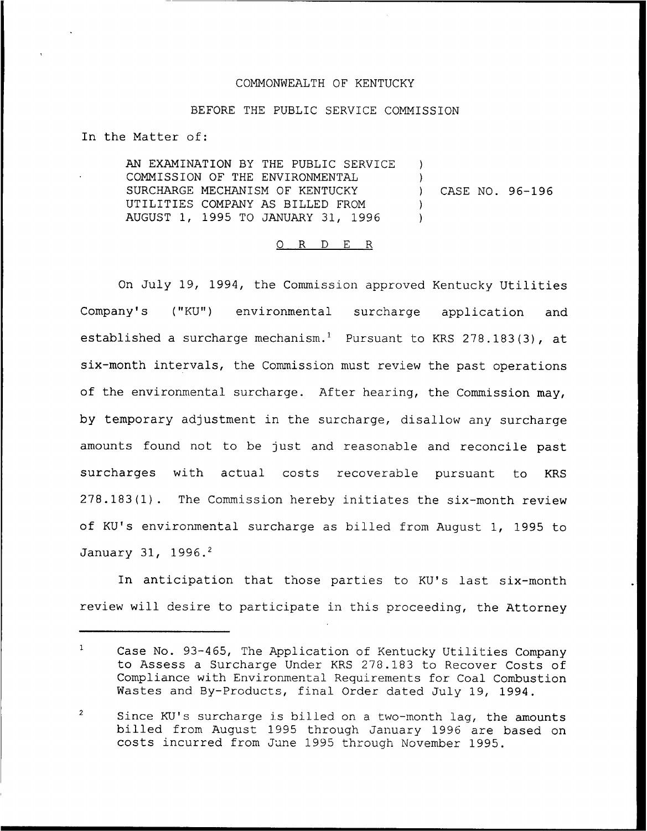## COMMONWEALTH OF KENTUCKY

## BEFORE THE PUBLIC SERVICE COMMISSION

In the Matter of:

AN EXAMINATION BY THE PUBLIC SERVICE COMMISSION OF THE ENVIRONMENTAL SURCHARGE MECHANISM OF KENTUCKY UTILITIES COMPANY AS BILLED FROM AUGUST 1, 1995 TO JANUARY 31, 1996  $\lambda$  $\big)$ ) CASE NO. 96-196 )  $\lambda$ 

### 0 R <sup>D</sup> E R

On July 19, 1994, the Commission approved Kentucky Utilities Company's ("KU") environmental surcharge application and established a surcharge mechanism.<sup>1</sup> Pursuant to KRS 278.183(3), at six-month intervals, the Commission must review the past operations of the environmental surcharge. After hearing, the Commission may, by temporary adjustment in the surcharge, disallow any surcharge amounts found not to be just and reasonable and reconcile past surcharges with actual costs recoverable pursuant to KRS 278.183(1). The Commission hereby initiates the six-month review of KU's environmental surcharge as billed from August 1, 1995 to January 31, 1996.<sup>2</sup>

anticipation that those parties to KU's last six-month review will desire to participate in this proceeding, the Attorney

 $\overline{2}$ Since KU's surcharge is billed on a two-month lag, the amounts billed from August 1995 through January 1996 are based on costs incurred from June 1995 through November 1995.

 $\mathbf{1}$ Case No. 93-465, The Application of Kentucky Utilities Company to Assess a Surcharge Under KRS 278.183 to Recover Costs of Compliance with Environmental Requirements for Coal Combustion Wastes and By-Products, final Order dated July 19, 1994.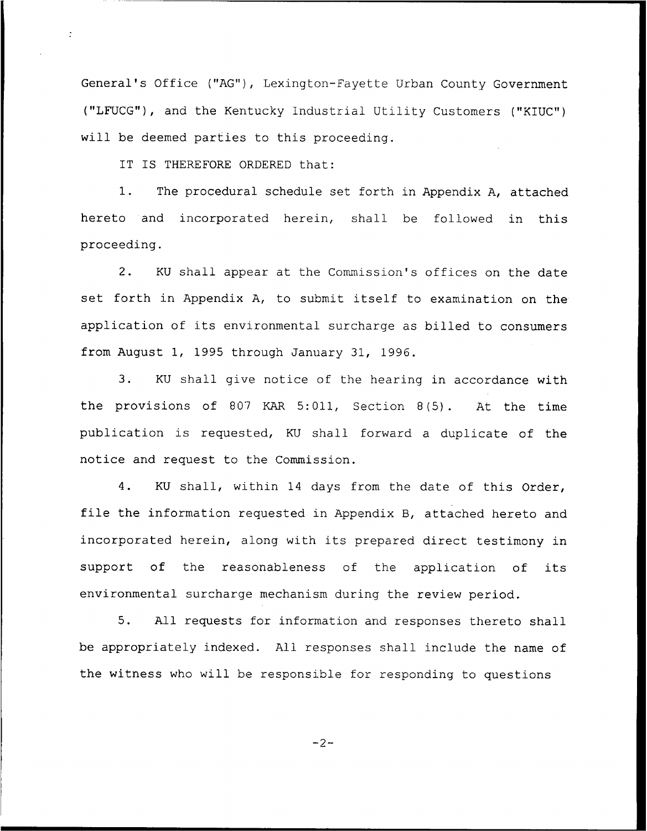General's Office ("AG"), Lexington-Fayette Urban County Government ("LFUCG"), and the Kentucky Industrial Utility Customers ("KIUC") will be deemed parties to this proceeding.

IT IS THEREFORE ORDERED that:

 $\ddot{\phantom{0}}$ 

1. The procedural schedule set forth in Appendix A, attached hereto and incorporated herein, shall be followed in this proceeding.

2. KU shall appear at the Commission's offices on the date set forth in Appendix A, to submit itself to examination on the application of its environmental surcharge as billed to consumers from August 1, 1995 through January 31, 1996.

3. KU shall give notice of the hearing in accordance with the provisions of 807 KAR 5:011, Section 8(5). At the time publication is requested, KU shall forward <sup>a</sup> duplicate of the notice and request to the Commission.

4. KU shall, within 14 days from the date of this Order, file the information requested in Appendix B, attached hereto and incorporated herein, along with its prepared direct testimony in support of the reasonableness of the application of its environmental surcharge mechanism during the review period.

5. All requests for information and responses thereto shall be appropriately indexed. All responses shall include the name of the witness who will be responsible for responding to questions

$$
-2-
$$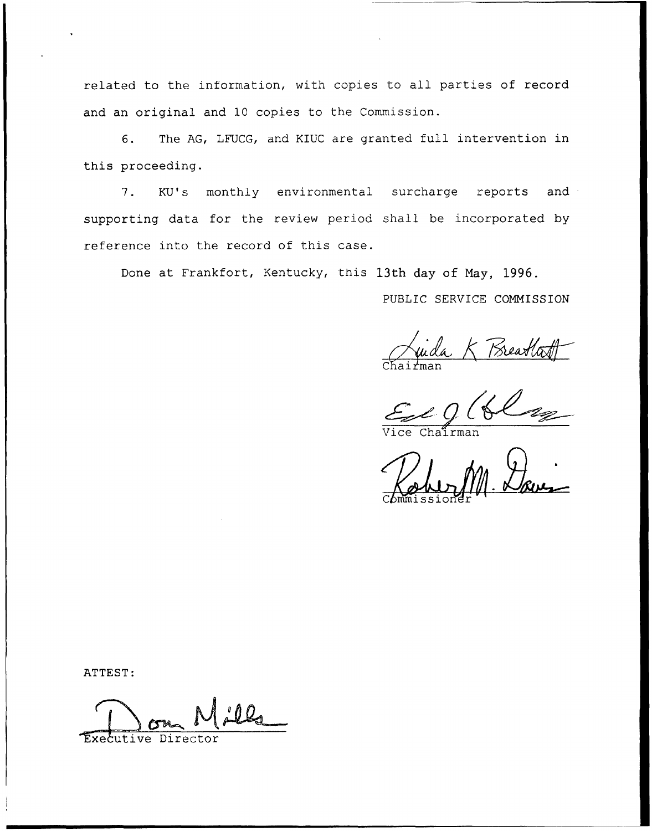related to the information, with copies to all parties of record and an original and 10 copies to the Commission.

6. The AG, LFUCG, and KIUC are granted full intervention in this proceeding.

7. KU's monthly environmental surcharge reports and supporting data for the review period shall be incorporated by reference into the record of this case.

Done at Frankfort, Kentucky, this 13th day of May, 1996.

PUBLIC SERVICE COMMISSION

Juda K Breathatt Chairma

Vice Chairma

Commissione  $m.$  Dave

ATTEST:

Executive Director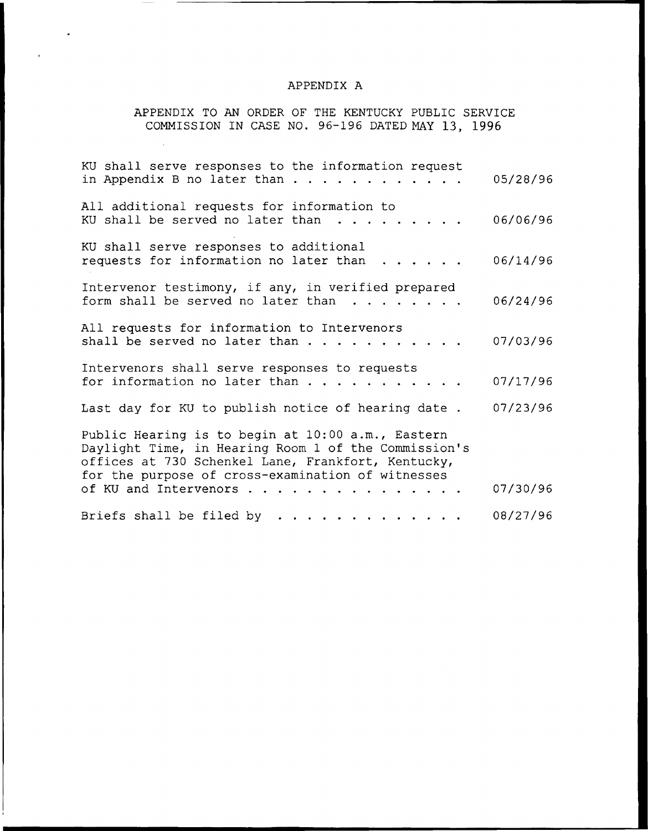## APPENDIX A

 $\langle \rangle$ 

 $\hat{\mathcal{A}}$ 

 $\ddot{\phantom{0}}$ 

# APPENDIX TO AN ORDER OF THE KENTUCKY PUBLIC SERVICE COMMISSION IN CASE NO. 96-196 DATED NAY 13, 1996

| KU shall serve responses to the information request<br>in Appendix B no later than $\ldots$                                                                                                                          | 05/28/96 |
|----------------------------------------------------------------------------------------------------------------------------------------------------------------------------------------------------------------------|----------|
| All additional requests for information to<br>KU shall be served no later than                                                                                                                                       | 06/06/96 |
| KU shall serve responses to additional<br>requests for information no later than                                                                                                                                     | 06/14/96 |
| Intervenor testimony, if any, in verified prepared<br>form shall be served no later than                                                                                                                             | 06/24/96 |
| All requests for information to Intervenors<br>shall be served no later than                                                                                                                                         | 07/03/96 |
| Intervenors shall serve responses to requests<br>for information no later than                                                                                                                                       | 07/17/96 |
| Last day for KU to publish notice of hearing date.                                                                                                                                                                   | 07/23/96 |
| Public Hearing is to begin at 10:00 a.m., Eastern<br>Daylight Time, in Hearing Room 1 of the Commission's<br>offices at 730 Schenkel Lane, Frankfort, Kentucky,<br>for the purpose of cross-examination of witnesses |          |
| of KU and Intervenors                                                                                                                                                                                                | 07/30/96 |
| Briefs shall be filed by                                                                                                                                                                                             | 08/27/96 |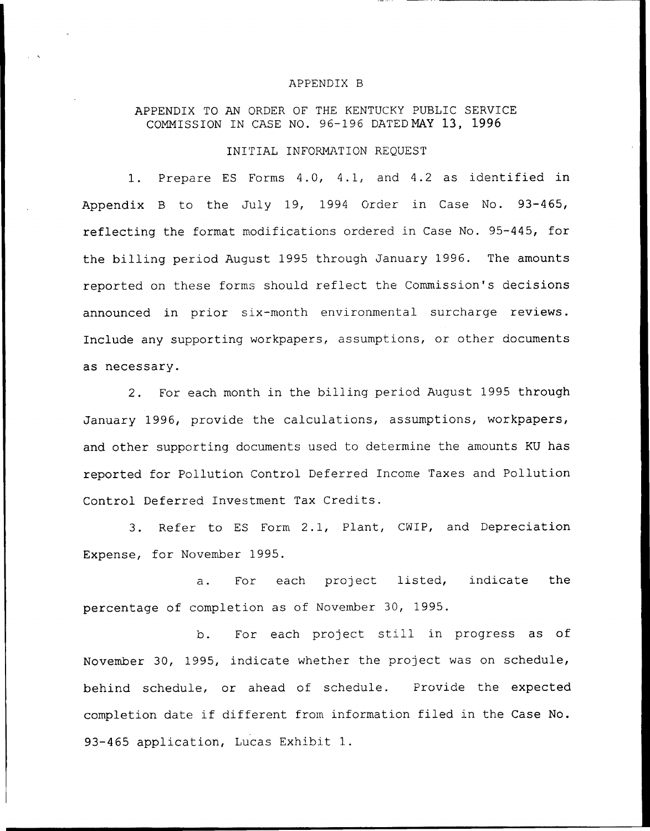#### APPENDIX B

# APPENDIX TO AN ORDER OF THE KENTUCKY PUBLIC SERVICE COMMISSION IN CASE NO. 96-196 DATEDMAY 13, 1996

### INITIAL INFORMATION REQUEST

1. Prepare ES Forms 4.0, 4.1, and 4.2 as identified in Appendix <sup>B</sup> to the July 19, 1994 Order in Case No. 93-465, reflecting the format modifications ordered in Case No. 95-445, for the billing period August 1995 through January 1996. The amounts reported on these forms should reflect the Commission's decisions announced in prior six-month environmental surcharge reviews. Include any supporting workpapers, assumptions, or other documents as necessary.

2. For each month in the billing period August 1995 through January 1996, provide the calculations, assumptions, workpapers, and other supporting documents used to determine the amounts KU has reported for Pollution Control Deferred Income Taxes and Pollution Control Deferred Investment Tax Credits.

3. Refer to ES Form 2.1, Plant, CNIP, and Depreciation Expense, for November 1995.

a. For each project listed, indicate the percentage of completion as of November 30, 1995.

b. For each project still in progress as of November 30, 1995, indicate whether the project was on schedule, behind schedule, or ahead of schedule. Provide the expected completion date if different from information filed in the Case No. 93-465 application, Lucas Exhibit 1.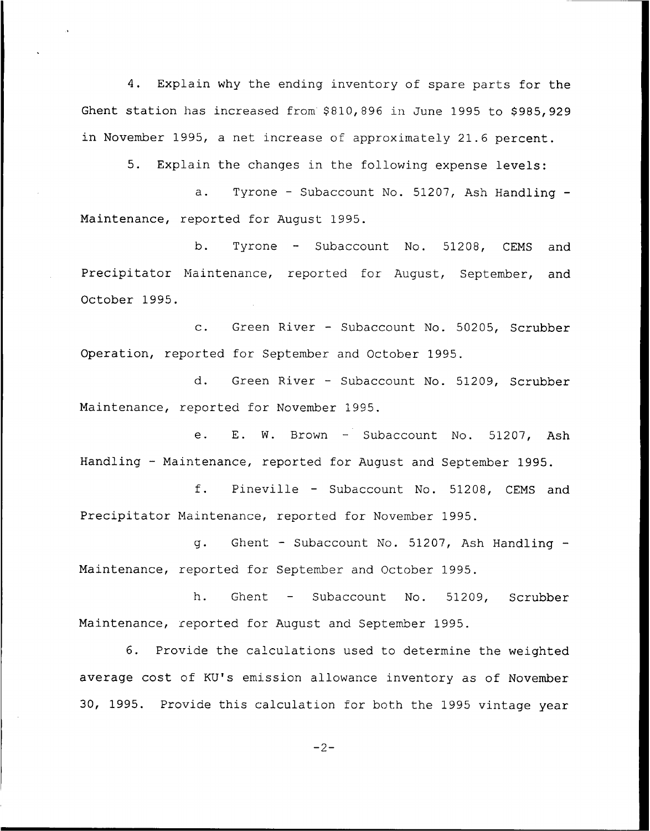4. Explain why the ending inventory of spare parts for the Ghent station has increased from \$810,896 in June 1995 to \$985,929 in November 1995, a net increase of approximately 21.6 percent.

5. Explain the changes in the following expense levels:

a. Tyrone - Subaccount No. 51207, Ash Handling -Maintenance, reported for August 1995.

b. Tyrone — Subaccount No. 51208, CEMS and Precipitator Maintenance, reported for August, September, and October 1995.

c. Green River — Subaccount No. 50205, Scrubber Operation, reported for September and October 1995.

d. Green River — Subaccount No. 51209, Scrubber Maintenance, reported for November 1995.

e. E. W. Brown — Subaccount No. 51207, Ash Handling — Maintenance, reported for August and September 1995.

f. Pineville — Subaccount No. 51208, CEMS and Precipitator Maintenance, reported for November 1995.

g. Ghent — Subaccount No. 51207, Ash Handling Maintenance, reported for September and October 1995.

h. Ghent — Subaccount No. 51209, Scrubber Maintenance, reported for August and September 1995.

6. Provide the ca'culations used to determine the weighted average cost of KU's emission allowance inventory as of November 30, 1995. Provide this calculation for both the 1995 vintage year

 $-2-$